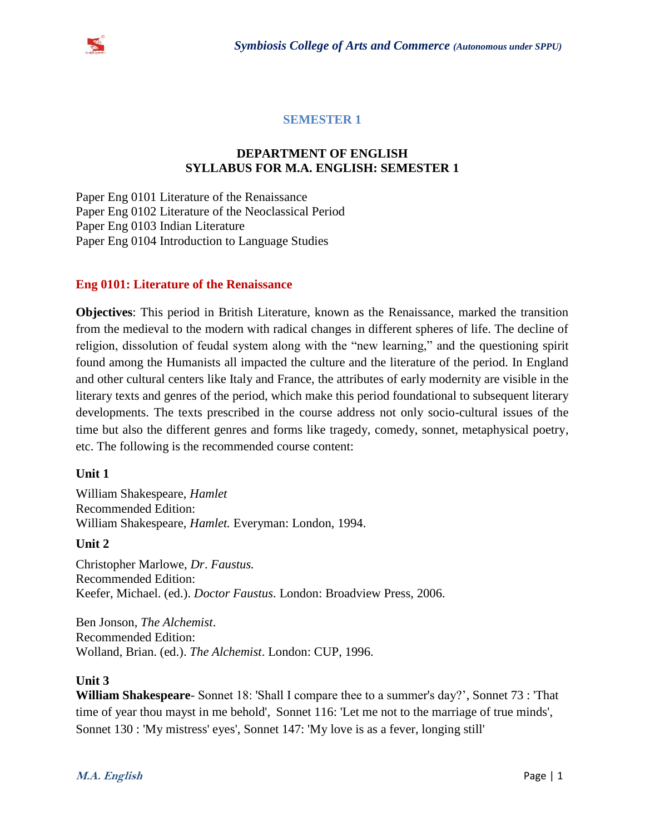

## **SEMESTER 1**

## **DEPARTMENT OF ENGLISH SYLLABUS FOR M.A. ENGLISH: SEMESTER 1**

Paper Eng 0101 Literature of the Renaissance Paper Eng 0102 Literature of the Neoclassical Period Paper Eng 0103 Indian Literature Paper Eng 0104 Introduction to Language Studies

## **Eng 0101: Literature of the Renaissance**

**Objectives**: This period in British Literature, known as the Renaissance, marked the transition from the medieval to the modern with radical changes in different spheres of life. The decline of religion, dissolution of feudal system along with the "new learning," and the questioning spirit found among the Humanists all impacted the culture and the literature of the period. In England and other cultural centers like Italy and France, the attributes of early modernity are visible in the literary texts and genres of the period, which make this period foundational to subsequent literary developments. The texts prescribed in the course address not only socio-cultural issues of the time but also the different genres and forms like tragedy, comedy, sonnet, metaphysical poetry, etc. The following is the recommended course content:

### **Unit 1**

William Shakespeare, *Hamlet* Recommended Edition: William Shakespeare, *Hamlet.* Everyman: London, 1994.

### **Unit 2**

Christopher Marlowe, *Dr*. *Faustus.*  Recommended Edition: Keefer, Michael. (ed.). *Doctor Faustus*. London: Broadview Press, 2006.

Ben Jonson, *The Alchemist*. Recommended Edition: Wolland, Brian. (ed.). *The Alchemist*. London: CUP, 1996.

### **Unit 3**

**William Shakespeare**- Sonnet 18: 'Shall I compare thee to a summer's day?', Sonnet 73 : 'That time of year thou mayst in me behold', Sonnet 116: 'Let me not to the marriage of true minds', Sonnet 130 : 'My mistress' eyes', Sonnet 147: 'My love is as a fever, longing still'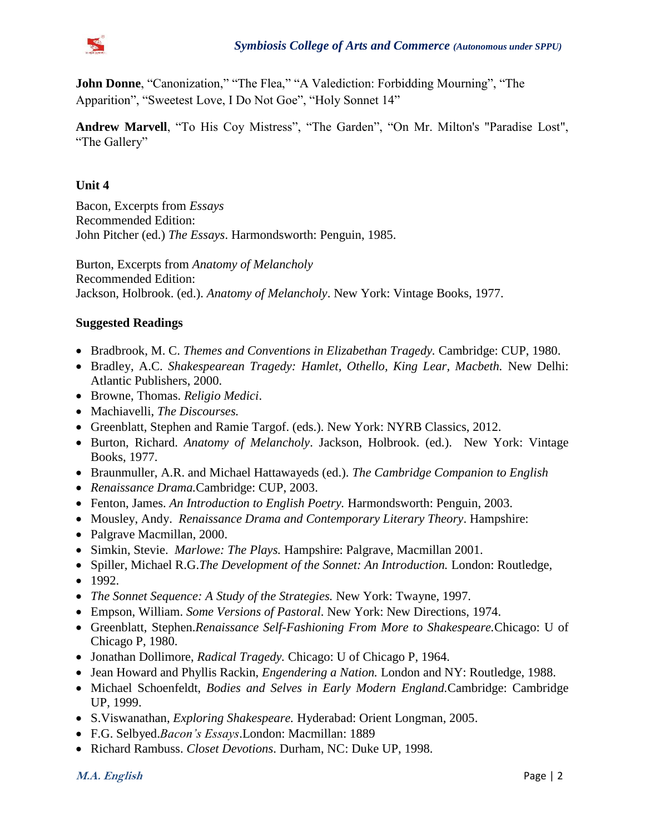

**John Donne**, "Canonization," "The Flea," "A Valediction: Forbidding Mourning", "The Apparition", "Sweetest Love, I Do Not Goe", "Holy Sonnet 14"

**Andrew Marvell**, "To His Coy Mistress", "The Garden", "On Mr. Milton's "Paradise Lost", "The Gallery"

## **Unit 4**

Bacon, Excerpts from *Essays* Recommended Edition: John Pitcher (ed.) *The Essays*. Harmondsworth: Penguin, 1985.

Burton, Excerpts from *Anatomy of Melancholy* Recommended Edition: Jackson, Holbrook. (ed.). *Anatomy of Melancholy*. New York: Vintage Books, 1977.

## **Suggested Readings**

- Bradbrook, M. C. *Themes and Conventions in Elizabethan Tragedy.* Cambridge: CUP, 1980.
- Bradley, A.C. *Shakespearean Tragedy: Hamlet, Othello, King Lear, Macbeth.* New Delhi: Atlantic Publishers, 2000.
- Browne, Thomas. *Religio Medici*.
- Machiavelli, *The Discourses.*
- Greenblatt, Stephen and Ramie Targof. (eds.). New York: NYRB Classics, 2012.
- Burton, Richard. *Anatomy of Melancholy*. Jackson, Holbrook. (ed.). New York: Vintage Books, 1977.
- Braunmuller, A.R. and Michael Hattawayeds (ed.). *The Cambridge Companion to English*
- *Renaissance Drama.*Cambridge: CUP, 2003.
- Fenton, James. *An Introduction to English Poetry.* Harmondsworth: Penguin, 2003.
- Mousley, Andy. *Renaissance Drama and Contemporary Literary Theory*. Hampshire:
- Palgrave Macmillan, 2000.
- Simkin, Stevie. *Marlowe: The Plays.* Hampshire: Palgrave, Macmillan 2001.
- Spiller, Michael R.G.*The Development of the Sonnet: An Introduction.* London: Routledge,
- $1992.$
- *The Sonnet Sequence: A Study of the Strategies.* New York: Twayne, 1997.
- Empson, William. *Some Versions of Pastoral*. New York: New Directions, 1974.
- Greenblatt, Stephen.*Renaissance Self-Fashioning From More to Shakespeare.*Chicago: U of Chicago P, 1980.
- Jonathan Dollimore, *Radical Tragedy.* Chicago: U of Chicago P, 1964.
- Jean Howard and Phyllis Rackin, *Engendering a Nation.* London and NY: Routledge, 1988.
- Michael Schoenfeldt, *Bodies and Selves in Early Modern England.*Cambridge: Cambridge UP, 1999.
- S.Viswanathan, *Exploring Shakespeare.* Hyderabad: Orient Longman, 2005.
- F.G. Selbyed.*Bacon's Essays*.London: Macmillan: 1889
- Richard Rambuss. *Closet Devotions*. Durham, NC: Duke UP, 1998.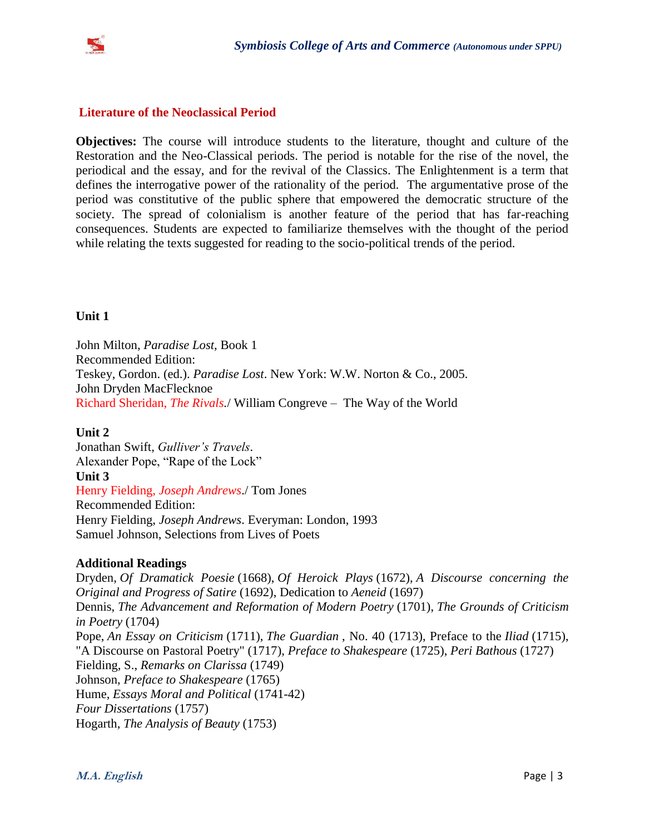

## **Literature of the Neoclassical Period**

**Objectives:** The course will introduce students to the literature, thought and culture of the Restoration and the Neo-Classical periods. The period is notable for the rise of the novel, the periodical and the essay, and for the revival of the Classics. The Enlightenment is a term that defines the interrogative power of the rationality of the period. The argumentative prose of the period was constitutive of the public sphere that empowered the democratic structure of the society. The spread of colonialism is another feature of the period that has far-reaching consequences. Students are expected to familiarize themselves with the thought of the period while relating the texts suggested for reading to the socio-political trends of the period.

### **Unit 1**

John Milton, *Paradise Lost,* Book 1 Recommended Edition: Teskey, Gordon. (ed.). *Paradise Lost*. New York: W.W. Norton & Co., 2005. John Dryden MacFlecknoe Richard Sheridan, *The Rivals.*/ William Congreve – The Way of the World

### **Unit 2**

Jonathan Swift, *Gulliver's Travels*. Alexander Pope, "Rape of the Lock" **Unit 3** Henry Fielding, *Joseph Andrews*./ Tom Jones Recommended Edition: Henry Fielding, *Joseph Andrews*. Everyman: London, 1993 Samuel Johnson, Selections from Lives of Poets

### **Additional Readings**

Dryden, *Of Dramatick Poesie* (1668), *Of Heroick Plays* (1672), *A Discourse concerning the Original and Progress of Satire* (1692), Dedication to *Aeneid* (1697) Dennis, *The Advancement and Reformation of Modern Poetry* (1701), *The Grounds of Criticism in Poetry* (1704) Pope, *An Essay on Criticism* (1711), *The Guardian* , No. 40 (1713), Preface to the *Iliad* (1715), "A Discourse on Pastoral Poetry" (1717), *Preface to Shakespeare* (1725), *Peri Bathous* (1727) Fielding, S., *Remarks on Clarissa* (1749) Johnson*, Preface to Shakespeare* (1765) Hume, *Essays Moral and Political* (1741-42) *Four Dissertations* (1757) Hogarth, *The Analysis of Beauty* (1753)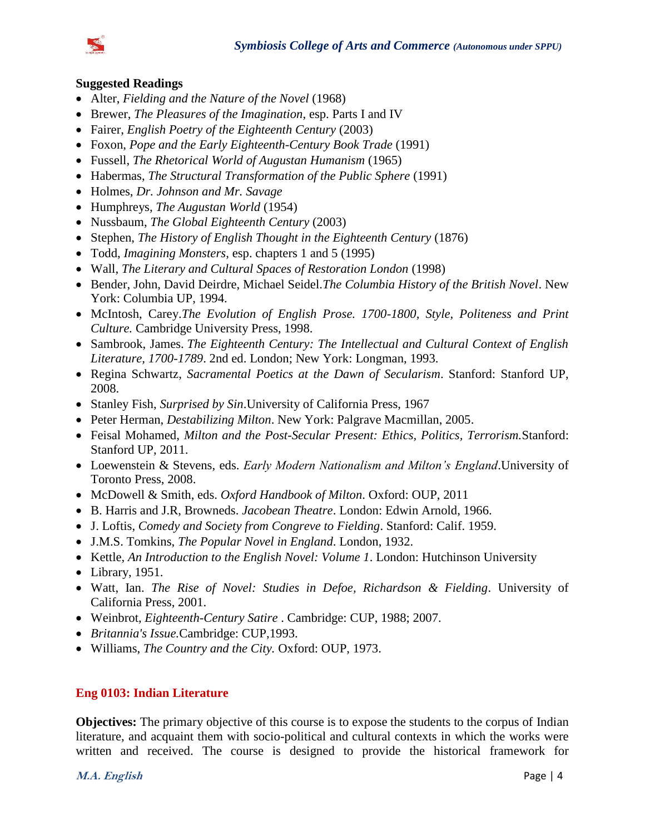



#### **Suggested Readings**

- Alter, *Fielding and the Nature of the Novel* (1968)
- Brewer, *The Pleasures of the Imagination*, esp. Parts I and IV
- Fairer, *English Poetry of the Eighteenth Century* (2003)
- Foxon, *Pope and the Early Eighteenth-Century Book Trade* (1991)
- Fussell, *The Rhetorical World of Augustan Humanism* (1965)
- Habermas, *The Structural Transformation of the Public Sphere* (1991)
- Holmes, *Dr. Johnson and Mr. Savage*
- Humphreys, *The Augustan World* (1954)
- Nussbaum, *The Global Eighteenth Century* (2003)
- Stephen, *The History of English Thought in the Eighteenth Century* (1876)
- Todd, *Imagining Monsters*, esp. chapters 1 and 5 (1995)
- Wall, *The Literary and Cultural Spaces of Restoration London* (1998)
- Bender, John, David Deirdre, Michael Seidel.*The Columbia History of the British Novel*. New York: Columbia UP, 1994.
- McIntosh, Carey.*The Evolution of English Prose. 1700-1800, Style, Politeness and Print Culture.* Cambridge University Press, 1998.
- Sambrook, James. *The Eighteenth Century: The Intellectual and Cultural Context of English Literature, 1700-1789*. 2nd ed. London; New York: Longman, 1993.
- Regina Schwartz, *Sacramental Poetics at the Dawn of Secularism*. Stanford: Stanford UP, 2008.
- Stanley Fish, *Surprised by Sin*.University of California Press, 1967
- Peter Herman, *Destabilizing Milton*. New York: Palgrave Macmillan, 2005.
- Feisal Mohamed, *Milton and the Post-Secular Present: Ethics, Politics, Terrorism.*Stanford: Stanford UP, 2011.
- Loewenstein & Stevens, eds. *Early Modern Nationalism and Milton's England*.University of Toronto Press, 2008.
- McDowell & Smith, eds. *Oxford Handbook of Milton*. Oxford: OUP, 2011
- B. Harris and J.R, Browneds. *Jacobean Theatre*. London: Edwin Arnold, 1966.
- J. Loftis, *Comedy and Society from Congreve to Fielding*. Stanford: Calif. 1959.
- J.M.S. Tomkins, *The Popular Novel in England*. London, 1932.
- Kettle, *An Introduction to the English Novel: Volume 1*. London: Hutchinson University
- $\bullet$  Library, 1951.
- Watt, Ian. *The Rise of Novel: Studies in Defoe, Richardson & Fielding*. University of California Press, 2001.
- Weinbrot, *Eighteenth-Century Satire* . Cambridge: CUP, 1988; 2007.
- *Britannia's Issue.*Cambridge: CUP,1993.
- Williams, *The Country and the City.* Oxford: OUP, 1973.

#### **Eng 0103: Indian Literature**

**Objectives:** The primary objective of this course is to expose the students to the corpus of Indian literature, and acquaint them with socio-political and cultural contexts in which the works were written and received. The course is designed to provide the historical framework for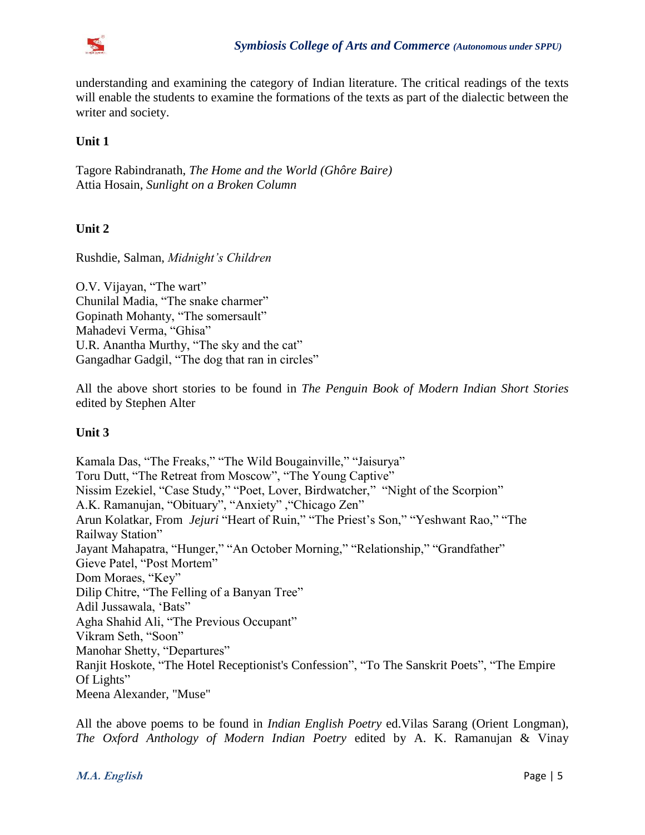

understanding and examining the category of Indian literature. The critical readings of the texts will enable the students to examine the formations of the texts as part of the dialectic between the writer and society.

## **Unit 1**

Tagore Rabindranath, *The Home and the World (Ghôre Baire)* Attia Hosain, *Sunlight on a Broken Column*

## **Unit 2**

Rushdie, Salman, *Midnight's Children*

O.V. Vijayan, "The wart" Chunilal Madia, "The snake charmer" Gopinath Mohanty, "The somersault" Mahadevi Verma, "Ghisa" U.R. Anantha Murthy, "The sky and the cat" Gangadhar Gadgil, "The dog that ran in circles"

All the above short stories to be found in *The Penguin Book of Modern Indian Short Stories* edited by Stephen Alter

### **Unit 3**

Kamala Das, "The Freaks," "The Wild Bougainville," "Jaisurya" Toru Dutt, "The Retreat from Moscow", "The Young Captive" Nissim Ezekiel, "Case Study," "Poet, Lover, Birdwatcher," "Night of the Scorpion" A.K. Ramanujan, "Obituary", "Anxiety" ,"Chicago Zen" Arun Kolatkar, From *Jejuri* "Heart of Ruin," "The Priest's Son," "Yeshwant Rao," "The Railway Station" Jayant Mahapatra, "Hunger," "An October Morning," "Relationship," "Grandfather" Gieve Patel, "Post Mortem" Dom Moraes, "Key" Dilip Chitre, "The Felling of a Banyan Tree" Adil Jussawala, 'Bats" Agha Shahid Ali, "The Previous Occupant" Vikram Seth, "Soon" Manohar Shetty, "Departures" Ranjit Hoskote, "The Hotel Receptionist's Confession", "To The Sanskrit Poets", "The Empire Of Lights" Meena Alexander, "Muse"

All the above poems to be found in *Indian English Poetry* ed.Vilas Sarang (Orient Longman), *The Oxford Anthology of Modern Indian Poetry* edited by A. K. Ramanujan & Vinay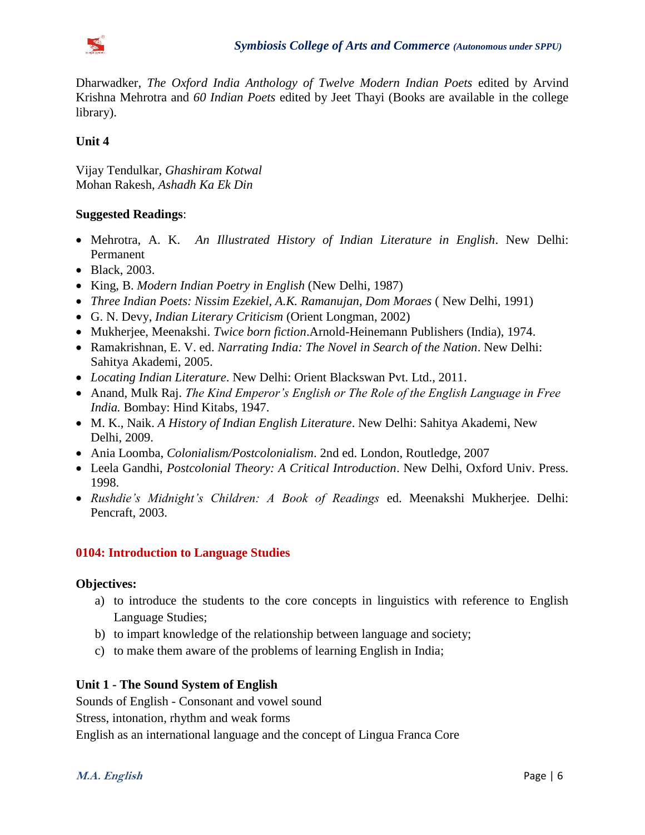

Dharwadker, *The Oxford India Anthology of Twelve Modern Indian Poets* edited by Arvind Krishna Mehrotra and *60 Indian Poets* edited by Jeet Thayi (Books are available in the college library).

# **Unit 4**

Vijay Tendulkar, *Ghashiram Kotwal* Mohan Rakesh, *Ashadh Ka Ek Din*

## **Suggested Readings**:

- Mehrotra, A. K. *An Illustrated History of Indian Literature in English*. New Delhi: Permanent
- Black, 2003.
- King, B. *Modern Indian Poetry in English* (New Delhi, 1987)
- *Three Indian Poets: Nissim Ezekiel, A.K. Ramanujan, Dom Moraes* ( New Delhi, 1991)
- G. N. Devy, *Indian Literary Criticism* (Orient Longman, 2002)
- Mukherjee, Meenakshi. *Twice born fiction*.Arnold-Heinemann Publishers (India), 1974.
- Ramakrishnan, E. V. ed. *Narrating India: The Novel in Search of the Nation*. New Delhi: Sahitya Akademi, 2005.
- *Locating Indian Literature*. New Delhi: Orient Blackswan Pvt. Ltd., 2011.
- Anand, Mulk Raj. *The Kind Emperor's English or The Role of the English Language in Free India.* Bombay: Hind Kitabs, 1947.
- M. K., Naik. *A History of Indian English Literature*. New Delhi: Sahitya Akademi, New Delhi, 2009.
- Ania Loomba, *Colonialism/Postcolonialism*. 2nd ed. London, Routledge, 2007
- Leela Gandhi, *Postcolonial Theory: A Critical Introduction*. New Delhi, Oxford Univ. Press. 1998.
- *Rushdie's Midnight's Children: A Book of Readings* ed. Meenakshi Mukherjee. Delhi: Pencraft, 2003.

## **0104: Introduction to Language Studies**

## **Objectives:**

- a) to introduce the students to the core concepts in linguistics with reference to English Language Studies;
- b) to impart knowledge of the relationship between language and society;
- c) to make them aware of the problems of learning English in India;

# **Unit 1 - The Sound System of English**

Sounds of English - Consonant and vowel sound

Stress, intonation, rhythm and weak forms

English as an international language and the concept of Lingua Franca Core